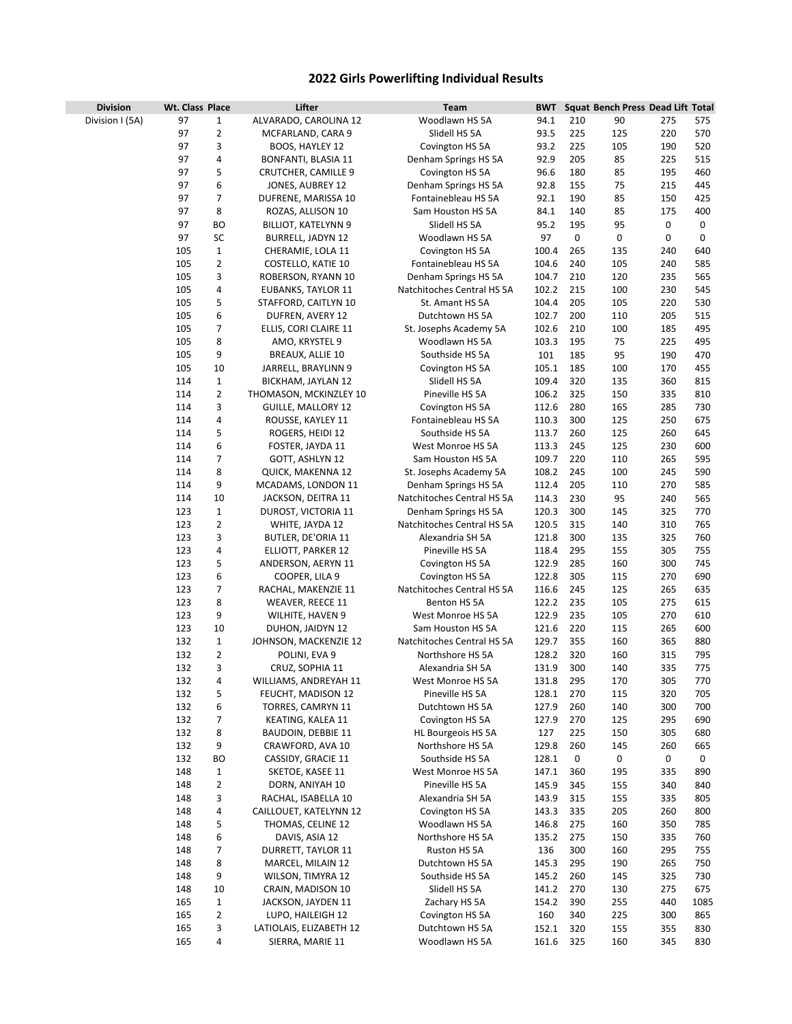## **2022 Girls Powerlifting Individual Results**

| <b>Division</b> | Wt. Class Place |                | Lifter                                | Team                                          | <b>BWT</b>     |            | Squat Bench Press Dead Lift Total |            |            |
|-----------------|-----------------|----------------|---------------------------------------|-----------------------------------------------|----------------|------------|-----------------------------------|------------|------------|
| Division I (5A) | 97              | 1              | ALVARADO, CAROLINA 12                 | Woodlawn HS 5A                                | 94.1           | 210        | 90                                | 275        | 575        |
|                 | 97              | $\overline{2}$ | MCFARLAND, CARA 9                     | Slidell HS 5A                                 | 93.5           | 225        | 125                               | 220        | 570        |
|                 | 97              | 3              | BOOS, HAYLEY 12                       | Covington HS 5A                               | 93.2           | 225        | 105                               | 190        | 520        |
|                 | 97              | 4              | BONFANTI, BLASIA 11                   | Denham Springs HS 5A                          | 92.9           | 205        | 85                                | 225        | 515        |
|                 | 97              | 5              | CRUTCHER, CAMILLE 9                   | Covington HS 5A                               | 96.6           | 180        | 85                                | 195        | 460        |
|                 | 97              | 6              | JONES, AUBREY 12                      | Denham Springs HS 5A                          | 92.8           | 155        | 75                                | 215        | 445        |
|                 | 97              | 7              | DUFRENE, MARISSA 10                   | Fontainebleau HS 5A                           | 92.1           | 190        | 85                                | 150        | 425        |
|                 | 97              | 8              | ROZAS, ALLISON 10                     | Sam Houston HS 5A                             | 84.1           | 140        | 85                                | 175        | 400        |
|                 | 97              | ВO             | <b>BILLIOT, KATELYNN 9</b>            | Slidell HS 5A                                 | 95.2           | 195        | 95                                | 0          | 0          |
|                 | 97              | SC             | <b>BURRELL, JADYN 12</b>              | Woodlawn HS 5A                                | 97             | 0          | 0                                 | 0          | 0          |
|                 | 105             | $\mathbf{1}$   | CHERAMIE, LOLA 11                     | Covington HS 5A                               | 100.4          | 265        | 135                               | 240        | 640        |
|                 | 105             | 2              | COSTELLO, KATIE 10                    | Fontainebleau HS 5A                           | 104.6          | 240        | 105                               | 240        | 585        |
|                 | 105             | 3              | ROBERSON, RYANN 10                    | Denham Springs HS 5A                          | 104.7          | 210        | 120                               | 235        | 565        |
|                 | 105             | 4              | <b>EUBANKS, TAYLOR 11</b>             | Natchitoches Central HS 5A                    | 102.2          | 215        | 100                               | 230        | 545        |
|                 | 105             | 5              | STAFFORD, CAITLYN 10                  | St. Amant HS 5A                               | 104.4          | 205        | 105                               | 220        | 530        |
|                 | 105             | 6              | DUFREN, AVERY 12                      | Dutchtown HS 5A                               | 102.7          | 200        | 110                               | 205        | 515        |
|                 | 105             | 7              | ELLIS, CORI CLAIRE 11                 | St. Josephs Academy 5A                        | 102.6          | 210        | 100                               | 185        | 495        |
|                 | 105             | 8              | AMO, KRYSTEL 9                        | Woodlawn HS 5A                                | 103.3          | 195        | 75                                | 225        | 495        |
|                 | 105             | 9              | BREAUX, ALLIE 10                      | Southside HS 5A                               | 101            | 185        | 95                                | 190        | 470        |
|                 | 105             | 10             | JARRELL, BRAYLINN 9                   | Covington HS 5A                               | 105.1          | 185        | 100                               | 170        | 455        |
|                 | 114             | $1\,$          | BICKHAM, JAYLAN 12                    | Slidell HS 5A                                 | 109.4          | 320        | 135                               | 360        | 815        |
|                 | 114             | 2              | THOMASON, MCKINZLEY 10                | Pineville HS 5A                               | 106.2          | 325        | 150                               | 335        | 810        |
|                 | 114             | 3              | <b>GUILLE, MALLORY 12</b>             | Covington HS 5A                               | 112.6          | 280        | 165                               | 285        | 730        |
|                 | 114             | 4              | ROUSSE, KAYLEY 11                     | Fontainebleau HS 5A                           | 110.3          | 300        | 125                               | 250        | 675        |
|                 | 114             | 5              | ROGERS, HEIDI 12                      | Southside HS 5A                               | 113.7          | 260        | 125                               | 260        | 645        |
|                 | 114             | 6              | FOSTER, JAYDA 11                      | West Monroe HS 5A                             | 113.3          | 245        | 125                               | 230        | 600        |
|                 | 114             | 7              | GOTT, ASHLYN 12                       | Sam Houston HS 5A                             | 109.7          | 220        | 110                               | 265        | 595        |
|                 | 114             | 8              | <b>QUICK, MAKENNA 12</b>              | St. Josephs Academy 5A                        | 108.2          | 245        | 100                               | 245        | 590        |
|                 | 114             | 9              | MCADAMS, LONDON 11                    | Denham Springs HS 5A                          | 112.4          | 205        | 110                               | 270        | 585        |
|                 | 114             | 10             | JACKSON, DEITRA 11                    | Natchitoches Central HS 5A                    | 114.3          | 230        | 95                                | 240        | 565        |
|                 | 123             | $1\,$          | DUROST, VICTORIA 11                   | Denham Springs HS 5A                          | 120.3          | 300        | 145                               | 325        | 770        |
|                 | 123             | 2              | WHITE, JAYDA 12                       | Natchitoches Central HS 5A                    | 120.5          | 315        | 140                               | 310        | 765        |
|                 | 123             | 3              | BUTLER, DE'ORIA 11                    | Alexandria SH 5A                              | 121.8          | 300        | 135                               | 325        | 760        |
|                 | 123<br>123      | 4<br>5         | ELLIOTT, PARKER 12                    | Pineville HS 5A                               | 118.4<br>122.9 | 295<br>285 | 155                               | 305<br>300 | 755<br>745 |
|                 | 123             | 6              | ANDERSON, AERYN 11                    | Covington HS 5A                               | 122.8          | 305        | 160<br>115                        | 270        | 690        |
|                 | 123             | 7              | COOPER, LILA 9<br>RACHAL, MAKENZIE 11 | Covington HS 5A<br>Natchitoches Central HS 5A | 116.6          | 245        | 125                               | 265        | 635        |
|                 | 123             | 8              | <b>WEAVER, REECE 11</b>               | Benton HS 5A                                  | 122.2          | 235        | 105                               | 275        | 615        |
|                 | 123             | 9              | WILHITE, HAVEN 9                      | West Monroe HS 5A                             | 122.9          | 235        | 105                               | 270        | 610        |
|                 | 123             | 10             | DUHON, JAIDYN 12                      | Sam Houston HS 5A                             | 121.6          | 220        | 115                               | 265        | 600        |
|                 | 132             | $\mathbf{1}$   | JOHNSON, MACKENZIE 12                 | Natchitoches Central HS 5A                    | 129.7          | 355        | 160                               | 365        | 880        |
|                 | 132             | 2              | POLINI, EVA 9                         | Northshore HS 5A                              | 128.2          | 320        | 160                               | 315        | 795        |
|                 | 132             | 3              | CRUZ, SOPHIA 11                       | Alexandria SH 5A                              | 131.9          | 300        | 140                               | 335        | 775        |
|                 | 132             | 4              | WILLIAMS, ANDREYAH 11                 | West Monroe HS 5A                             | 131.8          | 295        | 170                               | 305        | 770        |
|                 | 132             | 5              | FEUCHT, MADISON 12                    | Pineville HS 5A                               | 128.1          | 270        | 115                               | 320        | 705        |
|                 | 132             | 6              | <b>TORRES, CAMRYN 11</b>              | Dutchtown HS 5A                               | 127.9          | 260        | 140                               | 300        | 700        |
|                 | 132             | 7              | KEATING, KALEA 11                     | Covington HS 5A                               | 127.9          | 270        | 125                               | 295        | 690        |
|                 | 132             | 8              | <b>BAUDOIN, DEBBIE 11</b>             | HL Bourgeois HS 5A                            | 127            | 225        | 150                               | 305        | 680        |
|                 | 132             | 9              | CRAWFORD, AVA 10                      | Northshore HS 5A                              | 129.8          | 260        | 145                               | 260        | 665        |
|                 | 132             | BO             | CASSIDY, GRACIE 11                    | Southside HS 5A                               | 128.1          | 0          | 0                                 | 0          | 0          |
|                 | 148             | 1              | SKETOE, KASEE 11                      | West Monroe HS 5A                             | 147.1          | 360        | 195                               | 335        | 890        |
|                 | 148             | $\overline{2}$ | DORN, ANIYAH 10                       | Pineville HS 5A                               | 145.9          | 345        | 155                               | 340        | 840        |
|                 | 148             | 3              | RACHAL, ISABELLA 10                   | Alexandria SH 5A                              | 143.9          | 315        | 155                               | 335        | 805        |
|                 | 148             | 4              | CAILLOUET, KATELYNN 12                | Covington HS 5A                               | 143.3          | 335        | 205                               | 260        | 800        |
|                 | 148             | 5              | THOMAS, CELINE 12                     | Woodlawn HS 5A                                | 146.8          | 275        | 160                               | 350        | 785        |
|                 | 148             | 6              | DAVIS, ASIA 12                        | Northshore HS 5A                              | 135.2          | 275        | 150                               | 335        | 760        |
|                 | 148             | 7              | DURRETT, TAYLOR 11                    | Ruston HS 5A                                  | 136            | 300        | 160                               | 295        | 755        |
|                 | 148             | 8              | MARCEL, MILAIN 12                     | Dutchtown HS 5A                               | 145.3          | 295        | 190                               | 265        | 750        |
|                 | 148             | 9              | WILSON, TIMYRA 12                     | Southside HS 5A                               | 145.2          | 260        | 145                               | 325        | 730        |
|                 | 148             | $10\,$         | CRAIN, MADISON 10                     | Slidell HS 5A                                 | 141.2          | 270        | 130                               | 275        | 675        |
|                 | 165             | $\mathbf{1}$   | JACKSON, JAYDEN 11                    | Zachary HS 5A                                 | 154.2          | 390        | 255                               | 440        | 1085       |
|                 | 165             | 2              | LUPO, HAILEIGH 12                     | Covington HS 5A                               | 160            | 340        | 225                               | 300        | 865        |
|                 | 165             | 3              | LATIOLAIS, ELIZABETH 12               | Dutchtown HS 5A                               | 152.1          | 320        | 155                               | 355        | 830        |
|                 | 165             | 4              | SIERRA, MARIE 11                      | Woodlawn HS 5A                                | 161.6          | 325        | 160                               | 345        | 830        |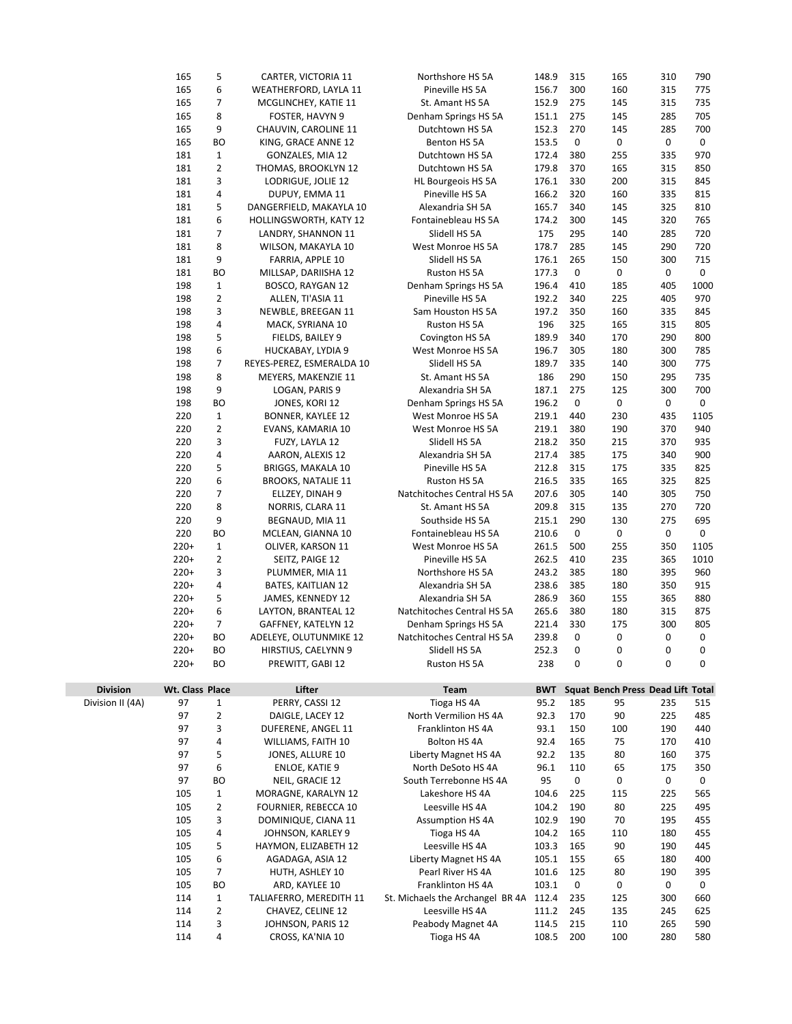|                  | 165             | 5              | CARTER, VICTORIA 11                 | Northshore HS 5A                           | 148.9          | 315                 | 165                               | 310        | 790        |
|------------------|-----------------|----------------|-------------------------------------|--------------------------------------------|----------------|---------------------|-----------------------------------|------------|------------|
|                  | 165             | 6              | WEATHERFORD, LAYLA 11               | Pineville HS 5A                            | 156.7          | 300                 | 160                               | 315        | 775        |
|                  | 165             | 7              | MCGLINCHEY, KATIE 11                | St. Amant HS 5A                            | 152.9          | 275                 | 145                               | 315        | 735        |
|                  | 165             | 8              | FOSTER, HAVYN 9                     | Denham Springs HS 5A                       | 151.1          | 275                 | 145                               | 285        | 705        |
|                  | 165             | 9              | CHAUVIN, CAROLINE 11                | Dutchtown HS 5A                            | 152.3          | 270                 | 145                               | 285        | 700        |
|                  | 165             | ВO             | KING, GRACE ANNE 12                 | Benton HS 5A                               | 153.5          | 0                   | 0                                 | 0          | 0          |
|                  | 181             | $\mathbf{1}$   | GONZALES, MIA 12                    | Dutchtown HS 5A                            | 172.4          | 380                 | 255                               | 335        | 970        |
|                  | 181             | $\overline{2}$ | THOMAS, BROOKLYN 12                 | Dutchtown HS 5A                            | 179.8          | 370                 | 165                               | 315        | 850        |
|                  | 181             | 3              | LODRIGUE, JOLIE 12                  | HL Bourgeois HS 5A                         | 176.1          | 330                 | 200                               | 315        | 845        |
|                  | 181             | 4              | DUPUY, EMMA 11                      | Pineville HS 5A                            | 166.2          | 320                 | 160                               | 335        | 815        |
|                  | 181             | 5              | DANGERFIELD, MAKAYLA 10             | Alexandria SH 5A                           | 165.7          | 340                 | 145                               | 325        | 810        |
|                  | 181             | 6              | <b>HOLLINGSWORTH, KATY 12</b>       | Fontainebleau HS 5A                        | 174.2          | 300                 | 145                               | 320        | 765        |
|                  | 181             | $\overline{7}$ | LANDRY, SHANNON 11                  | Slidell HS 5A                              | 175            | 295                 | 140                               | 285        | 720        |
|                  | 181             | 8              | WILSON, MAKAYLA 10                  | West Monroe HS 5A                          | 178.7          | 285                 | 145                               | 290        | 720        |
|                  | 181             | 9              | FARRIA, APPLE 10                    | Slidell HS 5A                              | 176.1          | 265                 | 150                               | 300        | 715        |
|                  | 181             | BО             | MILLSAP, DARIISHA 12                | Ruston HS 5A                               | 177.3          | 0                   | 0                                 | 0          | 0          |
|                  | 198             | $\mathbf{1}$   | BOSCO, RAYGAN 12                    | Denham Springs HS 5A                       | 196.4          | 410                 | 185                               | 405        | 1000       |
|                  | 198             | $\overline{2}$ | ALLEN, TI'ASIA 11                   | Pineville HS 5A                            | 192.2          | 340                 | 225                               | 405        | 970        |
|                  | 198             | 3              | NEWBLE, BREEGAN 11                  | Sam Houston HS 5A                          | 197.2          | 350                 | 160                               | 335        | 845        |
|                  | 198             | 4              | MACK, SYRIANA 10                    | Ruston HS 5A                               | 196            | 325                 | 165                               | 315        | 805        |
|                  | 198             | 5              | FIELDS, BAILEY 9                    | Covington HS 5A                            | 189.9          | 340                 | 170                               | 290        | 800        |
|                  | 198             | 6              | HUCKABAY, LYDIA 9                   | West Monroe HS 5A                          | 196.7          | 305                 | 180                               | 300        | 785        |
|                  | 198             | $\overline{7}$ | REYES-PEREZ, ESMERALDA 10           | Slidell HS 5A                              | 189.7          | 335                 | 140                               | 300        | 775        |
|                  | 198             | 8              | MEYERS, MAKENZIE 11                 | St. Amant HS 5A                            | 186            | 290                 | 150                               | 295        | 735        |
|                  | 198             | 9              | LOGAN, PARIS 9                      | Alexandria SH 5A                           | 187.1          | 275                 | 125                               | 300        | 700        |
|                  | 198             | ВO             | JONES, KORI 12                      | Denham Springs HS 5A                       | 196.2          | $\mathsf 0$         | 0                                 | 0          | 0          |
|                  | 220             | $\mathbf{1}$   | <b>BONNER, KAYLEE 12</b>            | West Monroe HS 5A                          | 219.1          | 440                 | 230                               | 435        | 1105       |
|                  | 220             | 2              | EVANS, KAMARIA 10                   | West Monroe HS 5A                          | 219.1          | 380                 | 190                               | 370        | 940        |
|                  | 220             | 3              | FUZY, LAYLA 12                      | Slidell HS 5A                              | 218.2          | 350                 | 215                               | 370        | 935        |
|                  | 220<br>220      | 4<br>5         | AARON, ALEXIS 12                    | Alexandria SH 5A                           | 217.4          | 385                 | 175                               | 340<br>335 | 900        |
|                  | 220             | 6              | <b>BRIGGS, MAKALA 10</b>            | Pineville HS 5A                            | 212.8<br>216.5 | 315<br>335          | 175<br>165                        | 325        | 825<br>825 |
|                  | 220             | 7              | <b>BROOKS, NATALIE 11</b>           | Ruston HS 5A<br>Natchitoches Central HS 5A | 207.6          | 305                 | 140                               | 305        | 750        |
|                  | 220             | 8              | ELLZEY, DINAH 9<br>NORRIS, CLARA 11 | St. Amant HS 5A                            | 209.8          | 315                 | 135                               | 270        | 720        |
|                  | 220             | 9              | BEGNAUD, MIA 11                     | Southside HS 5A                            | 215.1          | 290                 | 130                               | 275        | 695        |
|                  | 220             | ВO             | MCLEAN, GIANNA 10                   | Fontainebleau HS 5A                        | 210.6          | 0                   | 0                                 | 0          | 0          |
|                  | $220+$          | $\mathbf{1}$   | OLIVER, KARSON 11                   | West Monroe HS 5A                          | 261.5          | 500                 | 255                               | 350        | 1105       |
|                  | $220+$          | $\overline{2}$ | SEITZ, PAIGE 12                     | Pineville HS 5A                            | 262.5          | 410                 | 235                               | 365        | 1010       |
|                  | $220+$          | 3              | PLUMMER, MIA 11                     | Northshore HS 5A                           | 243.2          | 385                 | 180                               | 395        | 960        |
|                  | $220+$          | 4              | BATES, KAITLIAN 12                  | Alexandria SH 5A                           | 238.6          | 385                 | 180                               | 350        | 915        |
|                  | 220+            | 5              | JAMES, KENNEDY 12                   | Alexandria SH 5A                           | 286.9          | 360                 | 155                               | 365        | 880        |
|                  | $220+$          | 6              | LAYTON, BRANTEAL 12                 | Natchitoches Central HS 5A                 | 265.6          | 380                 | 180                               | 315        | 875        |
|                  | $220+$          | 7              | GAFFNEY, KATELYN 12                 | Denham Springs HS 5A                       | 221.4          | 330                 | 175                               | 300        | 805        |
|                  | $220+$          | ВO             | ADELEYE, OLUTUNMIKE 12              | Natchitoches Central HS 5A                 | 239.8          | 0                   | 0                                 | 0          | 0          |
|                  | $220+$          | BO             | HIRSTIUS, CAELYNN 9                 | Slidell HS 5A                              | 252.3          | 0                   | 0                                 | 0          | 0          |
|                  | $220+$          | BО             | PREWITT, GABI 12                    | Ruston HS 5A                               | 238            | $\mathbf 0$         | 0                                 | 0          | 0          |
|                  |                 |                |                                     |                                            |                |                     |                                   |            |            |
| <b>Division</b>  | Wt. Class Place |                | Lifter                              | Team                                       | <b>BWT</b>     |                     | Squat Bench Press Dead Lift Total |            |            |
| Division II (4A) | 97              | 1              | PERRY, CASSI 12                     | Tioga HS 4A                                | 95.2           | 185                 | 95                                | 235        | 515        |
|                  | 97              | $\overline{2}$ | DAIGLE, LACEY 12                    | North Vermilion HS 4A                      | 92.3           | 170                 | 90                                | 225        | 485        |
|                  | 97              | 3              | DUFERENE, ANGEL 11                  | Franklinton HS 4A                          | 93.1           | 150                 | 100                               | 190        | 440        |
|                  | 97              | 4              | WILLIAMS, FAITH 10                  | Bolton HS 4A                               | 92.4           | 165                 | 75                                | 170        | 410        |
|                  | 97              | 5              | JONES, ALLURE 10                    | Liberty Magnet HS 4A                       | 92.2           | 135                 | 80                                | 160        | 375        |
|                  | 97              | 6              | <b>ENLOE, KATIE 9</b>               | North DeSoto HS 4A                         | 96.1           | 110                 | 65                                | 175        | 350        |
|                  | 97              | BО             | NEIL, GRACIE 12                     | South Terrebonne HS 4A                     | 95             | $\mathsf{O}\xspace$ | 0                                 | 0          | 0          |
|                  | 105             | $\mathbf{1}$   | MORAGNE, KARALYN 12                 | Lakeshore HS 4A                            | 104.6          | 225                 | 115                               | 225        | 565        |
|                  | 105             | $\overline{2}$ | FOURNIER, REBECCA 10                | Leesville HS 4A                            | 104.2          | 190                 | 80                                | 225        | 495        |
|                  | 105             | 3              | DOMINIQUE, CIANA 11                 | <b>Assumption HS 4A</b>                    | 102.9          | 190                 | 70                                | 195        | 455        |
|                  | 105             | 4              | JOHNSON, KARLEY 9                   | Tioga HS 4A                                | 104.2          | 165                 | 110                               | 180        | 455        |
|                  | 105             | 5              | HAYMON, ELIZABETH 12                | Leesville HS 4A                            | 103.3          | 165                 | 90                                | 190        | 445        |
|                  | 105             | 6              | AGADAGA, ASIA 12                    | Liberty Magnet HS 4A                       | 105.1          | 155                 | 65                                | 180        | 400        |
|                  | 105             | 7              | HUTH, ASHLEY 10                     | Pearl River HS 4A                          | 101.6          | 125                 | 80                                | 190        | 395        |
|                  | 105             | BО             | ARD, KAYLEE 10                      | Franklinton HS 4A                          | 103.1          | 0                   | 0                                 | 0          | 0          |
|                  | 114             | $\mathbf{1}$   | TALIAFERRO, MEREDITH 11             | St. Michaels the Archangel BR 4A           | 112.4          | 235                 | 125                               | 300        | 660        |
|                  | 114             | 2              | CHAVEZ, CELINE 12                   | Leesville HS 4A                            | 111.2          | 245                 | 135                               | 245        | 625        |
|                  | 114             | 3              | JOHNSON, PARIS 12                   | Peabody Magnet 4A                          | 114.5          | 215                 | 110                               | 265        | 590        |
|                  | 114             | 4              | CROSS, KA'NIA 10                    | Tioga HS 4A                                | 108.5          | 200                 | 100                               | 280        | 580        |
|                  |                 |                |                                     |                                            |                |                     |                                   |            |            |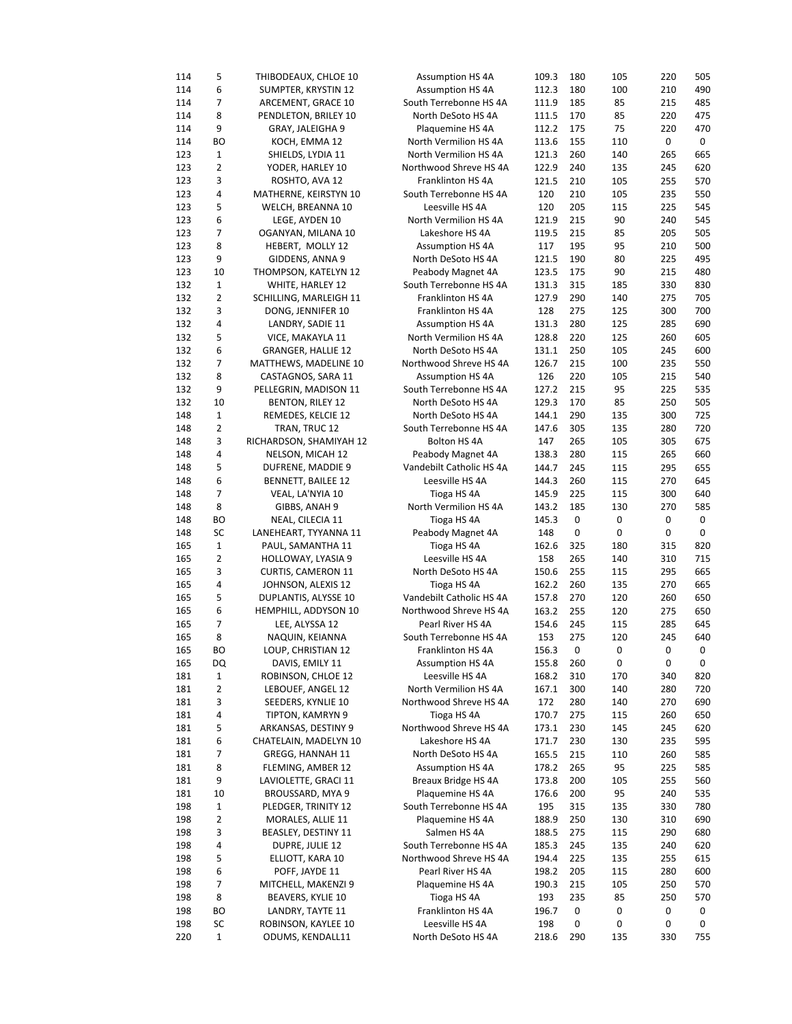| 114        | 5              | THIBODEAUX, CHLOE 10                    | <b>Assumption HS 4A</b>               | 109.3        | 180       | 105      | 220      | 505            |
|------------|----------------|-----------------------------------------|---------------------------------------|--------------|-----------|----------|----------|----------------|
| 114        | 6              | SUMPTER, KRYSTIN 12                     | <b>Assumption HS 4A</b>               | 112.3        | 180       | 100      | 210      | 490            |
| 114        | 7              | ARCEMENT, GRACE 10                      | South Terrebonne HS 4A                | 111.9        | 185       | 85       | 215      | 485            |
| 114        | 8              | PENDLETON, BRILEY 10                    | North DeSoto HS 4A                    | 111.5        | 170       | 85       | 220      | 475            |
| 114        | 9              | GRAY, JALEIGHA 9                        | Plaquemine HS 4A                      | 112.2        | 175       | 75       | 220      | 470            |
| 114        | ВO             | KOCH, EMMA 12                           | North Vermilion HS 4A                 | 113.6        | 155       | 110      | 0        | 0              |
| 123        | $\mathbf 1$    | SHIELDS, LYDIA 11                       | North Vermilion HS 4A                 | 121.3        | 260       | 140      | 265      | 665            |
| 123        | $\overline{2}$ | YODER, HARLEY 10                        | Northwood Shreve HS 4A                | 122.9        | 240       | 135      | 245      | 620            |
| 123        | 3              | ROSHTO, AVA 12                          | Franklinton HS 4A                     | 121.5        | 210       | 105      | 255      | 570            |
| 123        | 4              | MATHERNE, KEIRSTYN 10                   | South Terrebonne HS 4A                | 120          | 210       | 105      | 235      | 550            |
|            |                |                                         | Leesville HS 4A                       |              |           |          |          |                |
| 123        | 5              | WELCH, BREANNA 10                       |                                       | 120          | 205       | 115      | 225      | 545            |
| 123        | 6              | LEGE, AYDEN 10                          | North Vermilion HS 4A                 | 121.9        | 215       | 90       | 240      | 545            |
| 123        | 7              | OGANYAN, MILANA 10                      | Lakeshore HS 4A                       | 119.5        | 215       | 85       | 205      | 505            |
| 123        | 8              | HEBERT, MOLLY 12                        | <b>Assumption HS 4A</b>               | 117          | 195       | 95       | 210      | 500            |
| 123        | 9              | GIDDENS, ANNA 9                         | North DeSoto HS 4A                    | 121.5        | 190       | 80       | 225      | 495            |
| 123        | 10             | THOMPSON, KATELYN 12                    | Peabody Magnet 4A                     | 123.5        | 175       | 90       | 215      | 480            |
| 132        | $\mathbf 1$    | WHITE, HARLEY 12                        | South Terrebonne HS 4A                | 131.3        | 315       | 185      | 330      | 830            |
| 132        | 2              | SCHILLING, MARLEIGH 11                  | Franklinton HS 4A                     | 127.9        | 290       | 140      | 275      | 705            |
| 132        | 3              | DONG, JENNIFER 10                       | Franklinton HS 4A                     | 128          | 275       | 125      | 300      | 700            |
| 132        | 4              | LANDRY, SADIE 11                        | <b>Assumption HS 4A</b>               | 131.3        | 280       | 125      | 285      | 690            |
| 132        | 5              | VICE, MAKAYLA 11                        | North Vermilion HS 4A                 | 128.8        | 220       | 125      | 260      | 605            |
| 132        | 6              | <b>GRANGER, HALLIE 12</b>               | North DeSoto HS 4A                    | 131.1        | 250       | 105      | 245      | 600            |
| 132        | 7              | MATTHEWS, MADELINE 10                   | Northwood Shreve HS 4A                | 126.7        | 215       | 100      | 235      | 550            |
| 132        | 8              | CASTAGNOS, SARA 11                      | <b>Assumption HS 4A</b>               | 126          | 220       | 105      | 215      | 540            |
| 132        | 9              | PELLEGRIN, MADISON 11                   | South Terrebonne HS 4A                | 127.2        | 215       | 95       | 225      | 535            |
| 132        | 10             | <b>BENTON, RILEY 12</b>                 | North DeSoto HS 4A                    | 129.3        | 170       | 85       | 250      | 505            |
| 148        | $\mathbf 1$    | REMEDES, KELCIE 12                      | North DeSoto HS 4A                    | 144.1        | 290       | 135      | 300      | 725            |
| 148        | $\overline{2}$ | TRAN, TRUC 12                           | South Terrebonne HS 4A                | 147.6        | 305       | 135      | 280      | 720            |
| 148        | 3              | RICHARDSON, SHAMIYAH 12                 | Bolton HS 4A                          | 147          | 265       | 105      | 305      | 675            |
| 148        | 4              | NELSON, MICAH 12                        | Peabody Magnet 4A                     | 138.3        | 280       | 115      | 265      | 660            |
| 148        | 5              | DUFRENE, MADDIE 9                       | Vandebilt Catholic HS 4A              | 144.7        | 245       | 115      | 295      | 655            |
| 148        | 6              | BENNETT, BAILEE 12                      | Leesville HS 4A                       | 144.3        | 260       | 115      | 270      | 645            |
| 148        | 7              | VEAL, LA'NYIA 10                        | Tioga HS 4A                           | 145.9        | 225       | 115      | 300      | 640            |
| 148        | 8              | GIBBS, ANAH 9                           | North Vermilion HS 4A                 | 143.2        | 185       | 130      | 270      | 585            |
|            |                |                                         |                                       |              |           |          |          |                |
|            |                |                                         |                                       |              |           |          |          |                |
| 148        | <b>BO</b>      | NEAL, CILECIA 11                        | Tioga HS 4A                           | 145.3        | 0         | 0        | 0        | 0              |
| 148        | SC             | LANEHEART, TYYANNA 11                   | Peabody Magnet 4A                     | 148          | $\pmb{0}$ | 0        | 0        | 0              |
| 165        | $\mathbf 1$    | PAUL, SAMANTHA 11                       | Tioga HS 4A                           | 162.6        | 325       | 180      | 315      | 820            |
| 165        | $\overline{2}$ | HOLLOWAY, LYASIA 9                      | Leesville HS 4A                       | 158          | 265       | 140      | 310      | 715            |
| 165        | 3              | <b>CURTIS, CAMERON 11</b>               | North DeSoto HS 4A                    | 150.6        | 255       | 115      | 295      | 665            |
| 165        | 4              | JOHNSON, ALEXIS 12                      | Tioga HS 4A                           | 162.2        | 260       | 135      | 270      | 665            |
| 165        | 5              | DUPLANTIS, ALYSSE 10                    | Vandebilt Catholic HS 4A              | 157.8        | 270       | 120      | 260      | 650            |
| 165        | 6              | HEMPHILL, ADDYSON 10                    | Northwood Shreve HS 4A                | 163.2        | 255       | 120      | 275      | 650            |
| 165        | 7              | LEE, ALYSSA 12                          | Pearl River HS 4A                     | 154.6        | 245       | 115      | 285      | 645            |
| 165        | 8              | NAQUIN, KEIANNA                         | South Terrebonne HS 4A                | 153          | 275       | 120      | 245      | 640            |
| 165        | ВO             | LOUP, CHRISTIAN 12                      | Franklinton HS 4A                     | 156.3 0      |           | 0        | 0        | $\overline{0}$ |
| 165        | DQ             | DAVIS, EMILY 11                         | <b>Assumption HS 4A</b>               | 155.8        | 260       | 0        | 0        | 0              |
| 181        | 1              | ROBINSON, CHLOE 12                      | Leesville HS 4A                       | 168.2        | 310       | 170      | 340      | 820            |
| 181        | 2              | LEBOUEF, ANGEL 12                       | North Vermilion HS 4A                 | 167.1        | 300       | 140      | 280      | 720            |
| 181        | 3              | SEEDERS, KYNLIE 10                      | Northwood Shreve HS 4A                | 172          | 280       | 140      | 270      | 690            |
| 181        | 4              | TIPTON, KAMRYN 9                        | Tioga HS 4A                           | 170.7        | 275       | 115      | 260      | 650            |
| 181        | 5              | ARKANSAS, DESTINY 9                     | Northwood Shreve HS 4A                | 173.1        | 230       | 145      | 245      | 620            |
| 181        | 6              | CHATELAIN, MADELYN 10                   | Lakeshore HS 4A                       | 171.7        | 230       | 130      | 235      | 595            |
| 181        | 7              | GREGG, HANNAH 11                        | North DeSoto HS 4A                    | 165.5        | 215       | 110      | 260      | 585            |
| 181        | 8              | FLEMING, AMBER 12                       | <b>Assumption HS 4A</b>               | 178.2        |           |          |          |                |
|            |                |                                         |                                       |              | 265       | 95       | 225      | 585            |
| 181        | 9              | LAVIOLETTE, GRACI 11                    | Breaux Bridge HS 4A                   | 173.8        | 200       | 105      | 255      | 560            |
| 181        | 10             | BROUSSARD, MYA 9                        | Plaquemine HS 4A                      | 176.6        | 200       | 95       | 240      | 535            |
| 198        | 1              | PLEDGER, TRINITY 12                     | South Terrebonne HS 4A                | 195          | 315       | 135      | 330      | 780            |
| 198        | $\overline{2}$ | MORALES, ALLIE 11                       | Plaquemine HS 4A                      | 188.9        | 250       | 130      | 310      | 690            |
| 198        | 3              | BEASLEY, DESTINY 11                     | Salmen HS 4A                          | 188.5        | 275       | 115      | 290      | 680            |
| 198        | $\pmb{4}$      | DUPRE, JULIE 12                         | South Terrebonne HS 4A                | 185.3        | 245       | 135      | 240      | 620            |
| 198        | 5              | ELLIOTT, KARA 10                        | Northwood Shreve HS 4A                | 194.4        | 225       | 135      | 255      | 615            |
| 198        | 6              | POFF, JAYDE 11                          | Pearl River HS 4A                     | 198.2        | 205       | 115      | 280      | 600            |
| 198        | $\overline{7}$ | MITCHELL, MAKENZI 9                     | Plaquemine HS 4A                      | 190.3        | 215       | 105      | 250      | 570            |
| 198        | 8              | BEAVERS, KYLIE 10                       | Tioga HS 4A                           | 193          | 235       | 85       | 250      | 570            |
| 198        | ВO             | LANDRY, TAYTE 11                        | Franklinton HS 4A                     | 196.7        | 0         | 0        | 0        | 0              |
| 198<br>220 | SC<br>1        | ROBINSON, KAYLEE 10<br>ODUMS, KENDALL11 | Leesville HS 4A<br>North DeSoto HS 4A | 198<br>218.6 | 0<br>290  | 0<br>135 | 0<br>330 | 0<br>755       |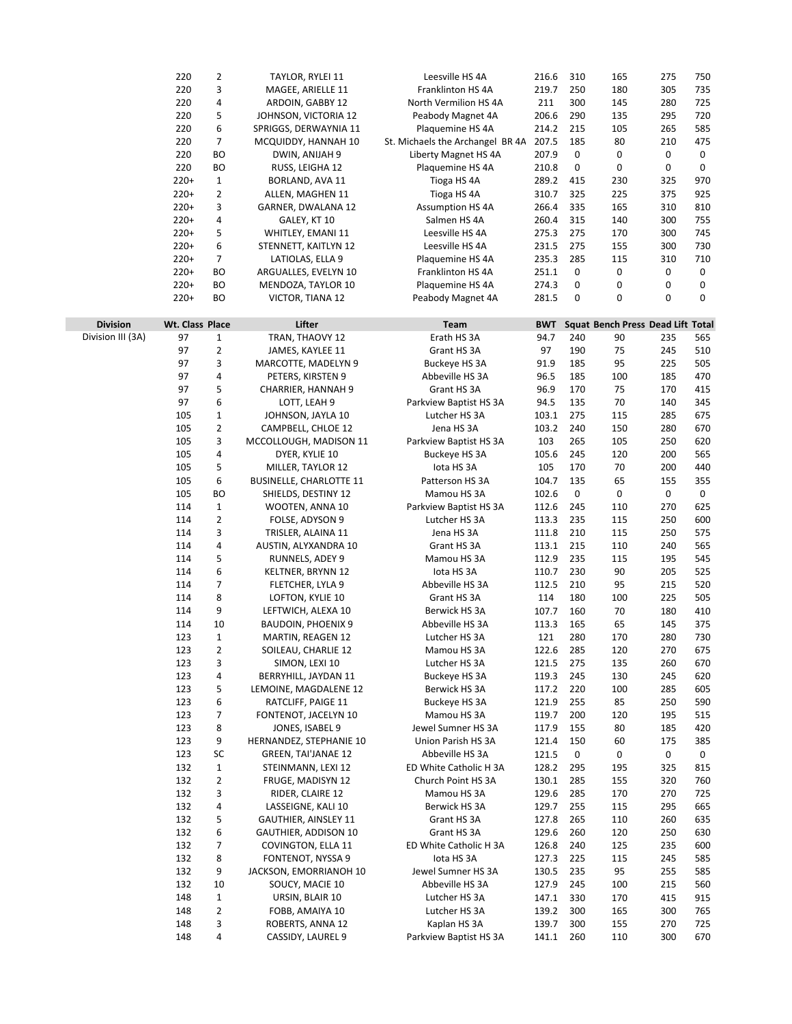|                   | 220             | $\overline{2}$ | TAYLOR, RYLEI 11            | Leesville HS 4A                  | 216.6      | 310         | 165                               | 275                 | 750 |
|-------------------|-----------------|----------------|-----------------------------|----------------------------------|------------|-------------|-----------------------------------|---------------------|-----|
|                   | 220             | 3              | MAGEE, ARIELLE 11           | Franklinton HS 4A                | 219.7      | 250         | 180                               | 305                 | 735 |
|                   | 220             | 4              | ARDOIN, GABBY 12            | North Vermilion HS 4A            | 211        | 300         | 145                               | 280                 | 725 |
|                   | 220             | 5              | JOHNSON, VICTORIA 12        | Peabody Magnet 4A                | 206.6      | 290         | 135                               | 295                 | 720 |
|                   | 220             | 6              | SPRIGGS, DERWAYNIA 11       | Plaquemine HS 4A                 | 214.2      | 215         | 105                               | 265                 | 585 |
|                   | 220             | 7              | MCQUIDDY, HANNAH 10         | St. Michaels the Archangel BR 4A | 207.5      | 185         | 80                                | 210                 | 475 |
|                   | 220             | <b>BO</b>      | DWIN, ANIJAH 9              | Liberty Magnet HS 4A             | 207.9      | 0           | 0                                 | $\mathsf{O}\xspace$ | 0   |
|                   | 220             | BO             | RUSS, LEIGHA 12             | Plaquemine HS 4A                 | 210.8      | 0           | 0                                 | 0                   | 0   |
|                   | $220+$          | 1              | BORLAND, AVA 11             | Tioga HS 4A                      | 289.2      | 415         | 230                               | 325                 | 970 |
|                   | $220+$          | $\overline{2}$ | ALLEN, MAGHEN 11            | Tioga HS 4A                      | 310.7      | 325         | 225                               | 375                 | 925 |
|                   | $220+$          | 3              | GARNER, DWALANA 12          | <b>Assumption HS 4A</b>          | 266.4      | 335         | 165                               | 310                 | 810 |
|                   | $220+$          | 4              | GALEY, KT 10                | Salmen HS 4A                     | 260.4      | 315         | 140                               | 300                 | 755 |
|                   | $220+$          | 5              | WHITLEY, EMANI 11           | Leesville HS 4A                  | 275.3      | 275         | 170                               | 300                 | 745 |
|                   | $220+$          | 6              | STENNETT, KAITLYN 12        | Leesville HS 4A                  | 231.5      | 275         | 155                               | 300                 | 730 |
|                   | $220+$          | 7              | LATIOLAS, ELLA 9            | Plaquemine HS 4A                 | 235.3      | 285         | 115                               | 310                 | 710 |
|                   | $220+$          | BO             | ARGUALLES, EVELYN 10        | Franklinton HS 4A                | 251.1      | 0           | 0                                 | 0                   | 0   |
|                   | $220+$          | BО             | MENDOZA, TAYLOR 10          | Plaquemine HS 4A                 | 274.3      | 0           | 0                                 | 0                   | 0   |
|                   | $220+$          | <b>BO</b>      | VICTOR, TIANA 12            | Peabody Magnet 4A                | 281.5      | 0           | 0                                 | 0                   | 0   |
|                   |                 |                |                             |                                  |            |             |                                   |                     |     |
| <b>Division</b>   | Wt. Class Place |                | Lifter                      | Team                             | <b>BWT</b> |             | Squat Bench Press Dead Lift Total |                     |     |
| Division III (3A) | 97              | 1              | TRAN, THAOVY 12             | Erath HS 3A                      | 94.7       | 240         | 90                                | 235                 | 565 |
|                   | 97              | $\overline{2}$ | JAMES, KAYLEE 11            | Grant HS 3A                      | 97         | 190         | 75                                | 245                 | 510 |
|                   | 97              | 3              | MARCOTTE, MADELYN 9         | Buckeye HS 3A                    | 91.9       | 185         | 95                                | 225                 | 505 |
|                   | 97              | 4              | PETERS, KIRSTEN 9           | Abbeville HS 3A                  | 96.5       | 185         | 100                               | 185                 | 470 |
|                   | 97              | 5              | CHARRIER, HANNAH 9          | Grant HS 3A                      | 96.9       | 170         | 75                                | 170                 | 415 |
|                   | 97              | 6              | LOTT, LEAH 9                | Parkview Baptist HS 3A           | 94.5       | 135         | 70                                | 140                 | 345 |
|                   | 105             | 1              | JOHNSON, JAYLA 10           | Lutcher HS 3A                    | 103.1      | 275         | 115                               | 285                 | 675 |
|                   | 105             | 2              | CAMPBELL, CHLOE 12          | Jena HS 3A                       | 103.2      | 240         | 150                               | 280                 | 670 |
|                   | 105             | 3              | MCCOLLOUGH, MADISON 11      | Parkview Baptist HS 3A           | 103        | 265         | 105                               | 250                 | 620 |
|                   | 105             | 4              | DYER, KYLIE 10              | Buckeye HS 3A                    | 105.6      | 245         | 120                               | 200                 | 565 |
|                   | 105             | 5              | MILLER, TAYLOR 12           | lota HS 3A                       | 105        | 170         | 70                                | 200                 | 440 |
|                   | 105             | 6              | BUSINELLE, CHARLOTTE 11     | Patterson HS 3A                  | 104.7      | 135         | 65                                | 155                 | 355 |
|                   | 105             | BO             | SHIELDS, DESTINY 12         | Mamou HS 3A                      | 102.6      | $\mathsf 0$ | 0                                 | $\mathsf{O}\xspace$ | 0   |
|                   | 114             | 1              | WOOTEN, ANNA 10             | Parkview Baptist HS 3A           | 112.6      | 245         | 110                               | 270                 | 625 |
|                   | 114             | $\overline{2}$ | FOLSE, ADYSON 9             | Lutcher HS 3A                    | 113.3      | 235         | 115                               | 250                 | 600 |
|                   | 114             | 3              | TRISLER, ALAINA 11          | Jena HS 3A                       | 111.8      | 210         | 115                               | 250                 | 575 |
|                   | 114             | 4              | AUSTIN, ALYXANDRA 10        | Grant HS 3A                      | 113.1      | 215         | 110                               | 240                 | 565 |
|                   | 114             | 5              | RUNNELS, ADEY 9             | Mamou HS 3A                      | 112.9      | 235         | 115                               | 195                 | 545 |
|                   | 114             | 6              | KELTNER, BRYNN 12           | lota HS 3A                       | 110.7      | 230         | 90                                | 205                 | 525 |
|                   | 114             | 7              | FLETCHER, LYLA 9            | Abbeville HS 3A                  | 112.5      | 210         | 95                                | 215                 | 520 |
|                   | 114             | 8              | LOFTON, KYLIE 10            | Grant HS 3A                      | 114        | 180         | 100                               | 225                 | 505 |
|                   | 114             | 9              | LEFTWICH, ALEXA 10          | Berwick HS 3A                    | 107.7      | 160         | 70                                | 180                 | 410 |
|                   | 114             | 10             | <b>BAUDOIN, PHOENIX 9</b>   | Abbeville HS 3A                  | 113.3      | 165         | 65                                | 145                 | 375 |
|                   | 123             | $\mathbf 1$    | MARTIN, REAGEN 12           | Lutcher HS 3A                    | 121        | 280         | 170                               | 280                 | 730 |
|                   | 123             | 2              | SOILEAU, CHARLIE 12         | Mamou HS 3A                      | 122.6      | 285         | 120                               | 270                 | 675 |
|                   | 123             | 3              | SIMON, LEXI 10              | Lutcher HS 3A                    | 121.5      | 275         | 135                               | 260                 | 670 |
|                   | 123             | 4              | BERRYHILL, JAYDAN 11        | Buckeye HS 3A                    | 119.3      | 245         | 130                               | 245                 | 620 |
|                   | 123             | 5              | LEMOINE, MAGDALENE 12       | Berwick HS 3A                    | 117.2      | 220         | 100                               | 285                 | 605 |
|                   | 123             | 6              | RATCLIFF, PAIGE 11          | Buckeye HS 3A                    | 121.9      | 255         | 85                                | 250                 | 590 |
|                   | 123             | 7              | FONTENOT, JACELYN 10        | Mamou HS 3A                      | 119.7      | 200         | 120                               | 195                 | 515 |
|                   | 123             | 8              | JONES, ISABEL 9             | Jewel Sumner HS 3A               | 117.9      | 155         | 80                                | 185                 | 420 |
|                   | 123             | 9              | HERNANDEZ, STEPHANIE 10     | Union Parish HS 3A               | 121.4      | 150         | 60                                | 175                 | 385 |
|                   | 123             | SC             | <b>GREEN, TAI'JANAE 12</b>  | Abbeville HS 3A                  | 121.5      | 0           | 0                                 | 0                   | 0   |
|                   | 132             | $\mathbf{1}$   | STEINMANN, LEXI 12          | ED White Catholic H 3A           | 128.2      | 295         | 195                               | 325                 | 815 |
|                   | 132             | $\overline{2}$ | FRUGE, MADISYN 12           | Church Point HS 3A               | 130.1      | 285         | 155                               | 320                 | 760 |
|                   | 132             | 3              | RIDER, CLAIRE 12            | Mamou HS 3A                      | 129.6      | 285         | 170                               | 270                 | 725 |
|                   | 132             | 4              | LASSEIGNE, KALI 10          | Berwick HS 3A                    | 129.7      | 255         | 115                               | 295                 | 665 |
|                   | 132             | 5              | <b>GAUTHIER, AINSLEY 11</b> | Grant HS 3A                      | 127.8      | 265         | 110                               | 260                 | 635 |
|                   | 132             | 6              | GAUTHIER, ADDISON 10        | Grant HS 3A                      | 129.6      | 260         | 120                               | 250                 | 630 |
|                   | 132             | 7              | COVINGTON, ELLA 11          | ED White Catholic H 3A           | 126.8      | 240         | 125                               | 235                 | 600 |
|                   | 132             | 8              | FONTENOT, NYSSA 9           | lota HS 3A                       | 127.3      | 225         | 115                               | 245                 | 585 |
|                   | 132             | 9              | JACKSON, EMORRIANOH 10      | Jewel Sumner HS 3A               | 130.5      | 235         | 95                                | 255                 | 585 |
|                   | 132             | 10             | SOUCY, MACIE 10             | Abbeville HS 3A                  | 127.9      | 245         | 100                               | 215                 | 560 |
|                   | 148             | $\mathbf{1}$   | URSIN, BLAIR 10             | Lutcher HS 3A                    | 147.1      | 330         | 170                               | 415                 | 915 |
|                   | 148             | 2              | FOBB, AMAIYA 10             | Lutcher HS 3A                    | 139.2      | 300         | 165                               | 300                 | 765 |
|                   | 148             | 3              | ROBERTS, ANNA 12            | Kaplan HS 3A                     | 139.7      | 300         | 155                               | 270                 | 725 |
|                   | 148             | 4              | CASSIDY, LAUREL 9           | Parkview Baptist HS 3A           | 141.1      | 260         | 110                               | 300                 | 670 |
|                   |                 |                |                             |                                  |            |             |                                   |                     |     |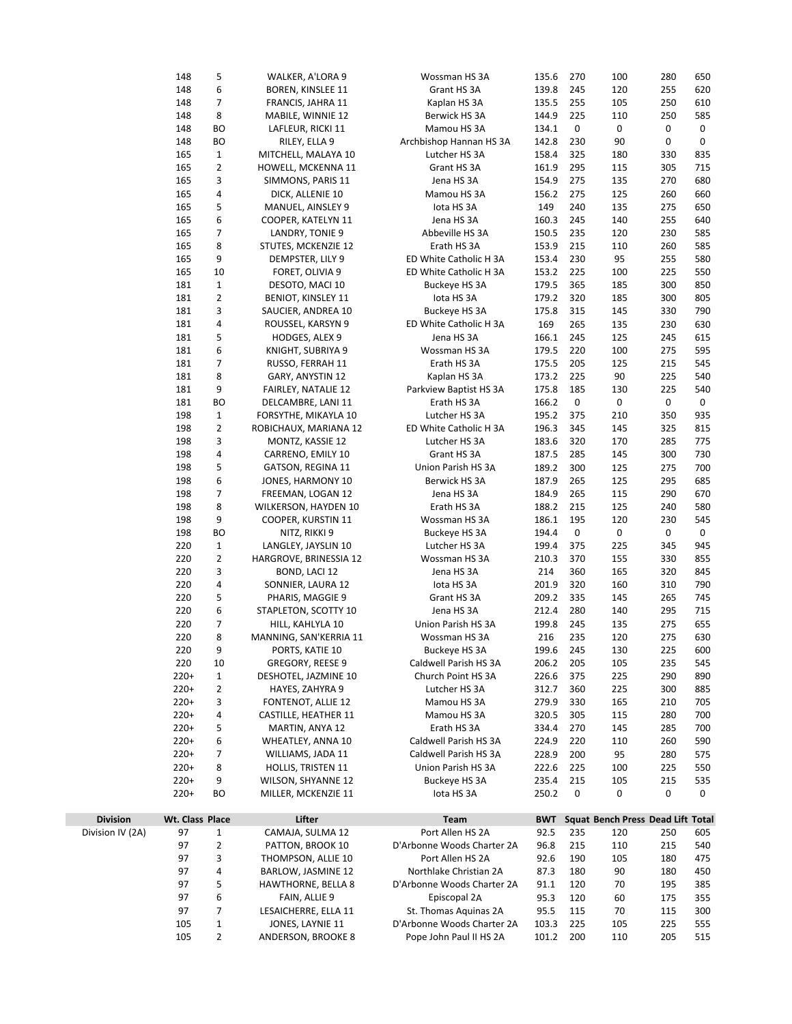|                  | 148              | 5              | WALKER, A'LORA 9                          | Wossman HS 3A                               | 135.6          | 270                 | 100                               | 280        | 650 |
|------------------|------------------|----------------|-------------------------------------------|---------------------------------------------|----------------|---------------------|-----------------------------------|------------|-----|
|                  | 148              | 6              | <b>BOREN, KINSLEE 11</b>                  | Grant HS 3A                                 | 139.8          | 245                 | 120                               | 255        | 620 |
|                  | 148              | 7              | FRANCIS, JAHRA 11                         | Kaplan HS 3A                                | 135.5          | 255                 | 105                               | 250        | 610 |
|                  | 148              | 8              | MABILE, WINNIE 12                         | Berwick HS 3A                               | 144.9          | 225                 | 110                               | 250        | 585 |
|                  | 148              | BO             | LAFLEUR, RICKI 11                         | Mamou HS 3A                                 | 134.1          | 0                   | 0                                 | 0          | 0   |
|                  | 148              | BO             | RILEY, ELLA 9                             | Archbishop Hannan HS 3A                     | 142.8          | 230                 | 90                                | 0          | 0   |
|                  | 165              | $\mathbf{1}$   | MITCHELL, MALAYA 10                       | Lutcher HS 3A                               | 158.4          | 325                 | 180                               | 330        | 835 |
|                  | 165              | $\overline{2}$ | HOWELL, MCKENNA 11                        | Grant HS 3A                                 | 161.9          | 295                 | 115                               | 305        | 715 |
|                  | 165              | 3              | SIMMONS, PARIS 11                         | Jena HS 3A                                  | 154.9          | 275                 | 135                               | 270        | 680 |
|                  | 165              | 4              | DICK, ALLENIE 10                          | Mamou HS 3A                                 | 156.2          | 275                 | 125                               | 260        | 660 |
|                  | 165              | 5              | MANUEL, AINSLEY 9                         | lota HS 3A                                  | 149            | 240                 | 135                               | 275        | 650 |
|                  | 165              | 6              | COOPER, KATELYN 11                        | Jena HS 3A                                  | 160.3          | 245                 | 140                               | 255        | 640 |
|                  | 165              | 7              | LANDRY, TONIE 9                           | Abbeville HS 3A                             | 150.5          | 235                 | 120                               | 230        | 585 |
|                  | 165              | 8              | STUTES, MCKENZIE 12                       | Erath HS 3A                                 | 153.9          | 215                 | 110                               | 260        | 585 |
|                  | 165              | 9              | DEMPSTER, LILY 9                          | ED White Catholic H 3A                      | 153.4          | 230                 | 95                                | 255        | 580 |
|                  | 165              | 10             | FORET, OLIVIA 9                           | ED White Catholic H 3A                      | 153.2          | 225                 | 100                               | 225        | 550 |
|                  | 181              | $\mathbf 1$    | DESOTO, MACI 10                           | Buckeye HS 3A                               | 179.5          | 365                 | 185                               | 300        | 850 |
|                  | 181              | $\overline{2}$ | <b>BENIOT, KINSLEY 11</b>                 | lota HS 3A                                  | 179.2          | 320                 | 185                               | 300        | 805 |
|                  | 181              | 3              | SAUCIER, ANDREA 10                        | Buckeye HS 3A                               | 175.8          | 315                 | 145                               | 330        | 790 |
|                  | 181              | 4              | ROUSSEL, KARSYN 9                         | ED White Catholic H 3A                      | 169            | 265                 | 135                               | 230        | 630 |
|                  | 181              | 5              | HODGES, ALEX 9                            | Jena HS 3A                                  | 166.1          | 245                 | 125                               | 245        | 615 |
|                  | 181              | 6              | KNIGHT, SUBRIYA 9                         | Wossman HS 3A                               | 179.5          | 220                 | 100                               | 275        | 595 |
|                  | 181              | 7              | RUSSO, FERRAH 11                          | Erath HS 3A                                 | 175.5          | 205                 | 125                               | 215        | 545 |
|                  | 181              | 8              | GARY, ANYSTIN 12                          | Kaplan HS 3A                                | 173.2          | 225                 | 90                                | 225        | 540 |
|                  | 181              | 9              | FAIRLEY, NATALIE 12                       | Parkview Baptist HS 3A                      | 175.8          | 185                 | 130                               | 225        | 540 |
|                  | 181              | BO             | DELCAMBRE, LANI 11                        | Erath HS 3A                                 | 166.2          | $\mathsf{O}\xspace$ | 0                                 | 0          | 0   |
|                  | 198              | $\mathbf 1$    | FORSYTHE, MIKAYLA 10                      | Lutcher HS 3A                               | 195.2          | 375                 | 210                               | 350        | 935 |
|                  | 198              | 2              | ROBICHAUX, MARIANA 12                     | ED White Catholic H 3A                      | 196.3          | 345                 | 145                               | 325        | 815 |
|                  | 198              | 3              | MONTZ, KASSIE 12                          | Lutcher HS 3A                               | 183.6          | 320                 | 170                               | 285        | 775 |
|                  | 198              | 4              | CARRENO, EMILY 10                         | Grant HS 3A                                 | 187.5          | 285                 | 145                               | 300        | 730 |
|                  | 198              | 5              | GATSON, REGINA 11                         | Union Parish HS 3A                          | 189.2          | 300                 | 125                               | 275        | 700 |
|                  | 198              | 6              | JONES, HARMONY 10                         | Berwick HS 3A                               | 187.9          | 265                 | 125                               | 295        | 685 |
|                  | 198              | 7              | FREEMAN, LOGAN 12                         | Jena HS 3A                                  | 184.9          | 265                 | 115                               | 290        | 670 |
|                  | 198              | 8              | WILKERSON, HAYDEN 10                      | Erath HS 3A                                 | 188.2          | 215                 | 125                               | 240        | 580 |
|                  | 198              | 9              | COOPER, KURSTIN 11                        | Wossman HS 3A                               | 186.1          | 195                 | 120                               | 230        | 545 |
|                  | 198              | ВO             | NITZ, RIKKI 9                             | Buckeye HS 3A                               | 194.4          | 0                   | 0                                 | 0          | 0   |
|                  | 220              | $\mathbf 1$    | LANGLEY, JAYSLIN 10                       | Lutcher HS 3A                               | 199.4          | 375                 | 225                               | 345        | 945 |
|                  | 220              | $\overline{2}$ | HARGROVE, BRINESSIA 12                    | Wossman HS 3A                               | 210.3          | 370                 | 155                               | 330        | 855 |
|                  | 220              | 3              | BOND, LACI 12                             | Jena HS 3A                                  | 214            | 360                 | 165                               | 320        | 845 |
|                  | 220              | 4              | SONNIER, LAURA 12                         | lota HS 3A                                  | 201.9          | 320                 | 160                               | 310        | 790 |
|                  | 220              | 5              | PHARIS, MAGGIE 9                          | Grant HS 3A                                 | 209.2          | 335                 | 145                               | 265        | 745 |
|                  | 220              | 6              | STAPLETON, SCOTTY 10                      | Jena HS 3A                                  | 212.4          | 280                 | 140                               | 295        | 715 |
|                  | 220              | 7              | HILL, KAHLYLA 10                          | Union Parish HS 3A                          | 199.8          | 245                 | 135                               | 275        | 655 |
|                  | 220              | 8              | MANNING, SAN'KERRIA 11                    | Wossman HS 3A                               | 216            | 235                 | 120                               | 275        | 630 |
|                  | 220              | 9              | PORTS, KATIE 10                           | Buckeye HS 3A                               | 199.6          | 245                 | 130                               | 225        | 600 |
|                  | 220              | 10             | GREGORY, REESE 9                          | Caldwell Parish HS 3A                       | 206.2          | 205                 | 105                               | 235        | 545 |
|                  | $220+$           | $\mathbf 1$    | DESHOTEL, JAZMINE 10                      | Church Point HS 3A                          | 226.6          | 375                 | 225                               | 290        | 890 |
|                  | $220+$           | 2              | HAYES, ZAHYRA 9                           | Lutcher HS 3A                               | 312.7          | 360                 | 225                               | 300        | 885 |
|                  | $220+$           | 3              | FONTENOT, ALLIE 12                        | Mamou HS 3A                                 | 279.9          | 330                 | 165                               | 210        | 705 |
|                  | $220+$           | 4              | CASTILLE, HEATHER 11                      | Mamou HS 3A                                 | 320.5          | 305                 | 115                               | 280        | 700 |
|                  | $220+$           | 5              | MARTIN, ANYA 12                           | Erath HS 3A                                 | 334.4          | 270                 | 145                               | 285        | 700 |
|                  | $220+$           | 6              |                                           |                                             |                | 220                 |                                   |            |     |
|                  |                  | 7              | WHEATLEY, ANNA 10                         | Caldwell Parish HS 3A                       | 224.9          | 200                 | 110                               | 260        | 590 |
|                  | $220+$<br>$220+$ | 8              | WILLIAMS, JADA 11                         | Caldwell Parish HS 3A<br>Union Parish HS 3A | 228.9<br>222.6 | 225                 | 95                                | 280<br>225 | 575 |
|                  |                  |                | <b>HOLLIS, TRISTEN 11</b>                 |                                             |                |                     | 100                               |            | 550 |
|                  | $220+$           | 9              | WILSON, SHYANNE 12<br>MILLER, MCKENZIE 11 | Buckeye HS 3A                               | 235.4          | 215                 | 105                               | 215        | 535 |
|                  | $220+$           | ВO             |                                           | lota HS 3A                                  | 250.2          | 0                   | 0                                 | 0          | 0   |
| <b>Division</b>  | Wt. Class Place  |                | Lifter                                    | Team                                        | <b>BWT</b>     |                     | Squat Bench Press Dead Lift Total |            |     |
| Division IV (2A) | 97               | 1              | CAMAJA, SULMA 12                          | Port Allen HS 2A                            | 92.5           | 235                 | 120                               | 250        | 605 |
|                  |                  |                |                                           |                                             |                |                     |                                   |            |     |
|                  | 97               | $\overline{2}$ | PATTON, BROOK 10                          | D'Arbonne Woods Charter 2A                  | 96.8           | 215                 | 110                               | 215        | 540 |
|                  | 97               | 3              | THOMPSON, ALLIE 10                        | Port Allen HS 2A                            | 92.6           | 190                 | 105                               | 180        | 475 |
|                  | 97               | 4              | BARLOW, JASMINE 12                        | Northlake Christian 2A                      | 87.3           | 180                 | 90                                | 180        | 450 |
|                  | 97               | 5              | <b>HAWTHORNE, BELLA 8</b>                 | D'Arbonne Woods Charter 2A                  | 91.1           | 120                 | 70                                | 195        | 385 |
|                  | 97               | 6              | FAIN, ALLIE 9                             | Episcopal 2A                                | 95.3           | 120                 | 60                                | 175        | 355 |
|                  | 97               | 7              | LESAICHERRE, ELLA 11                      | St. Thomas Aquinas 2A                       | 95.5           | 115                 | 70                                | 115        | 300 |
|                  | 105              | $\mathbf{1}$   | JONES, LAYNIE 11                          | D'Arbonne Woods Charter 2A                  | 103.3          | 225                 | 105                               | 225        | 555 |
|                  | 105              | $\overline{2}$ | ANDERSON, BROOKE 8                        | Pope John Paul II HS 2A                     | 101.2          | 200                 | 110                               | 205        | 515 |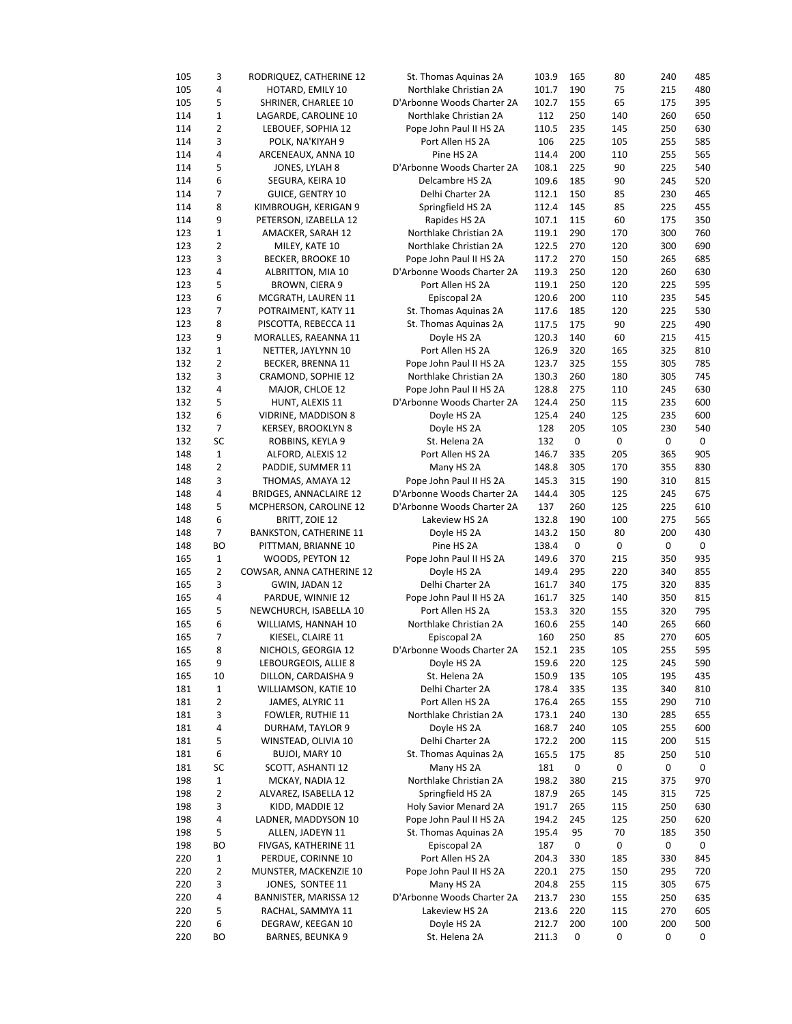| 105        | 3              | RODRIQUEZ, CATHERINE 12               | St. Thomas Aquinas 2A        | 103.9          | 165      | 80        | 240      | 485      |
|------------|----------------|---------------------------------------|------------------------------|----------------|----------|-----------|----------|----------|
| 105        | 4              | HOTARD, EMILY 10                      | Northlake Christian 2A       | 101.7          | 190      | 75        | 215      | 480      |
| 105        | 5              | SHRINER, CHARLEE 10                   | D'Arbonne Woods Charter 2A   | 102.7          | 155      | 65        | 175      | 395      |
| 114        | $\mathbf 1$    | LAGARDE, CAROLINE 10                  | Northlake Christian 2A       | 112            | 250      | 140       | 260      | 650      |
| 114        | $\overline{2}$ | LEBOUEF, SOPHIA 12                    | Pope John Paul II HS 2A      | 110.5          | 235      | 145       | 250      | 630      |
| 114        | 3              | POLK, NA'KIYAH 9                      | Port Allen HS 2A             | 106            | 225      | 105       | 255      | 585      |
| 114        | 4              | ARCENEAUX, ANNA 10                    | Pine HS 2A                   | 114.4          | 200      | 110       | 255      | 565      |
| 114        | 5              | JONES, LYLAH 8                        | D'Arbonne Woods Charter 2A   | 108.1          | 225      | 90        | 225      | 540      |
| 114        | 6              | SEGURA, KEIRA 10                      | Delcambre HS 2A              | 109.6          | 185      | 90        | 245      | 520      |
| 114        | 7              | <b>GUICE, GENTRY 10</b>               | Delhi Charter 2A             | 112.1          | 150      | 85        | 230      | 465      |
| 114        | 8              | KIMBROUGH, KERIGAN 9                  | Springfield HS 2A            | 112.4          | 145      | 85        | 225      | 455      |
| 114        | 9              | PETERSON, IZABELLA 12                 | Rapides HS 2A                | 107.1          | 115      | 60        | 175      | 350      |
| 123        | $\mathbf{1}$   | AMACKER, SARAH 12                     | Northlake Christian 2A       | 119.1          | 290      | 170       | 300      | 760      |
| 123        | 2              | MILEY, KATE 10                        | Northlake Christian 2A       | 122.5          | 270      | 120       | 300      | 690      |
| 123        | 3              | <b>BECKER, BROOKE 10</b>              | Pope John Paul II HS 2A      | 117.2          | 270      | 150       | 265      | 685      |
| 123        | 4              | ALBRITTON, MIA 10                     | D'Arbonne Woods Charter 2A   | 119.3          | 250      | 120       | 260      | 630      |
| 123        | 5              | BROWN, CIERA 9                        | Port Allen HS 2A             | 119.1          | 250      | 120       | 225      | 595      |
| 123        | 6              | MCGRATH, LAUREN 11                    | Episcopal 2A                 | 120.6          | 200      | 110       | 235      | 545      |
| 123        | 7              | POTRAIMENT, KATY 11                   | St. Thomas Aquinas 2A        | 117.6          | 185      | 120       | 225      | 530      |
| 123        | 8              | PISCOTTA, REBECCA 11                  | St. Thomas Aquinas 2A        | 117.5          | 175      | 90        | 225      | 490      |
| 123        | 9              | MORALLES, RAEANNA 11                  | Doyle HS 2A                  | 120.3          | 140      | 60        | 215      | 415      |
| 132        | $\mathbf 1$    | NETTER, JAYLYNN 10                    | Port Allen HS 2A             | 126.9          | 320      | 165       | 325      | 810      |
| 132        | 2              | BECKER, BRENNA 11                     | Pope John Paul II HS 2A      | 123.7          | 325      | 155       | 305      | 785      |
| 132        | 3              | CRAMOND, SOPHIE 12                    | Northlake Christian 2A       | 130.3          | 260      | 180       | 305      | 745      |
| 132        | 4              | MAJOR, CHLOE 12                       | Pope John Paul II HS 2A      | 128.8          | 275      | 110       | 245      | 630      |
| 132        | 5              | HUNT, ALEXIS 11                       | D'Arbonne Woods Charter 2A   | 124.4          | 250      | 115       | 235      | 600      |
| 132        | 6              | VIDRINE, MADDISON 8                   | Doyle HS 2A                  | 125.4          | 240      | 125       | 235      | 600      |
| 132        | 7              | KERSEY, BROOKLYN 8                    | Doyle HS 2A                  | 128            | 205      | 105       | 230      | 540      |
| 132        | SC             | ROBBINS, KEYLA 9                      | St. Helena 2A                | 132            | 0        | $\pmb{0}$ | 0        | 0        |
| 148        | $\mathbf 1$    | ALFORD, ALEXIS 12                     | Port Allen HS 2A             | 146.7          | 335      | 205       | 365      | 905      |
| 148        | 2              | PADDIE, SUMMER 11                     | Many HS 2A                   | 148.8          | 305      | 170       | 355      | 830      |
| 148        | 3              | THOMAS, AMAYA 12                      | Pope John Paul II HS 2A      | 145.3          | 315      | 190       | 310      | 815      |
| 148        | 4              | <b>BRIDGES, ANNACLAIRE 12</b>         | D'Arbonne Woods Charter 2A   | 144.4          | 305      | 125       | 245      | 675      |
| 148        | 5              | MCPHERSON, CAROLINE 12                | D'Arbonne Woods Charter 2A   | 137            | 260      | 125       | 225      | 610      |
| 148        | 6              | BRITT, ZOIE 12                        | Lakeview HS 2A               | 132.8          | 190      | 100       | 275      | 565      |
| 148        | 7              | <b>BANKSTON, CATHERINE 11</b>         | Doyle HS 2A                  | 143.2          | 150      | 80        | 200      | 430      |
| 148        | BO             | PITTMAN, BRIANNE 10                   | Pine HS 2A                   | 138.4          | 0        | 0         | 0        | 0        |
| 165        | $\mathbf{1}$   | WOODS, PEYTON 12                      | Pope John Paul II HS 2A      | 149.6          | 370      | 215       | 350      | 935      |
| 165        | 2              | COWSAR, ANNA CATHERINE 12             | Doyle HS 2A                  | 149.4          | 295      | 220       | 340      | 855      |
| 165        | 3              | GWIN, JADAN 12                        | Delhi Charter 2A             | 161.7          | 340      | 175       | 320      | 835      |
| 165        | 4              | PARDUE, WINNIE 12                     | Pope John Paul II HS 2A      | 161.7          | 325      | 140       | 350      | 815      |
| 165        | 5              | NEWCHURCH, ISABELLA 10                | Port Allen HS 2A             | 153.3          | 320      | 155       | 320      | 795      |
| 165        | 6              | WILLIAMS, HANNAH 10                   | Northlake Christian 2A       | 160.6          | 255      | 140       | 265      | 660      |
| 165        | 7              | KIESEL, CLAIRE 11                     | Episcopal 2A                 | 160            | 250      | 85        | 270      | 605      |
| 165        | 8              | NICHOLS, GEORGIA 12                   | D'Arbonne Woods Charter 2A   | 152.1          | 235      | 105       | 255      | 595      |
| 165        | 9              | LEBOURGEOIS, ALLIE 8                  | Doyle HS 2A                  | 159.6          | 220      | 125       | 245      | 590      |
| 165        | 10             | DILLON, CARDAISHA 9                   | St. Helena 2A                | 150.9          | 135      | 105       | 195      | 435      |
| 181        | $\mathbf{1}$   | WILLIAMSON, KATIE 10                  | Delhi Charter 2A             | 178.4          | 335      | 135       | 340      | 810      |
| 181        | 2              | JAMES, ALYRIC 11                      | Port Allen HS 2A             | 176.4          | 265      | 155       | 290      | 710      |
| 181        | 3              | FOWLER, RUTHIE 11                     | Northlake Christian 2A       | 173.1          | 240      | 130       | 285      | 655      |
| 181        | 4              | DURHAM, TAYLOR 9                      | Doyle HS 2A                  | 168.7          | 240      | 105       | 255      | 600      |
| 181        | 5              | WINSTEAD, OLIVIA 10                   | Delhi Charter 2A             | 172.2          | 200      | 115       | 200      | 515      |
| 181        | 6              | <b>BUJOI, MARY 10</b>                 | St. Thomas Aquinas 2A        | 165.5          | 175      | 85        | 250      | 510      |
| 181        | SC             | SCOTT, ASHANTI 12                     | Many HS 2A                   | 181            | 0        | 0         | 0        | 0        |
| 198        | $\mathbf 1$    | MCKAY, NADIA 12                       | Northlake Christian 2A       | 198.2          | 380      | 215       | 375      | 970      |
| 198        | 2              | ALVAREZ, ISABELLA 12                  | Springfield HS 2A            | 187.9          | 265      | 145       | 315      | 725      |
| 198        | 3              | KIDD, MADDIE 12                       | Holy Savior Menard 2A        | 191.7          | 265      | 115       | 250      | 630      |
| 198        | 4              | LADNER, MADDYSON 10                   | Pope John Paul II HS 2A      | 194.2          | 245      | 125       | 250      | 620      |
| 198        | 5              |                                       | St. Thomas Aquinas 2A        | 195.4          | 95       | 70        | 185      | 350      |
|            |                | ALLEN, JADEYN 11                      |                              |                |          |           |          |          |
| 198        | BО             | FIVGAS, KATHERINE 11                  | Episcopal 2A                 | 187            | 0        | 0         | 0        | 0        |
| 220        | $\mathbf 1$    | PERDUE, CORINNE 10                    | Port Allen HS 2A             | 204.3          | 330      | 185       | 330      | 845      |
| 220        | 2              | MUNSTER, MACKENZIE 10                 | Pope John Paul II HS 2A      | 220.1          | 275      | 150       | 295      | 720      |
| 220        | 3              | JONES, SONTEE 11                      | Many HS 2A                   | 204.8          | 255      | 115       | 305      | 675      |
| 220        |                | BANNISTER, MARISSA 12                 | D'Arbonne Woods Charter 2A   | 213.7          | 230      | 155       | 250      | 635      |
|            | 4              |                                       |                              |                |          |           |          |          |
| 220        | 5              | RACHAL, SAMMYA 11                     | Lakeview HS 2A               | 213.6          | 220      | 115       | 270      | 605      |
| 220<br>220 | 6<br>ВO        | DEGRAW, KEEGAN 10<br>BARNES, BEUNKA 9 | Doyle HS 2A<br>St. Helena 2A | 212.7<br>211.3 | 200<br>0 | 100<br>0  | 200<br>0 | 500<br>0 |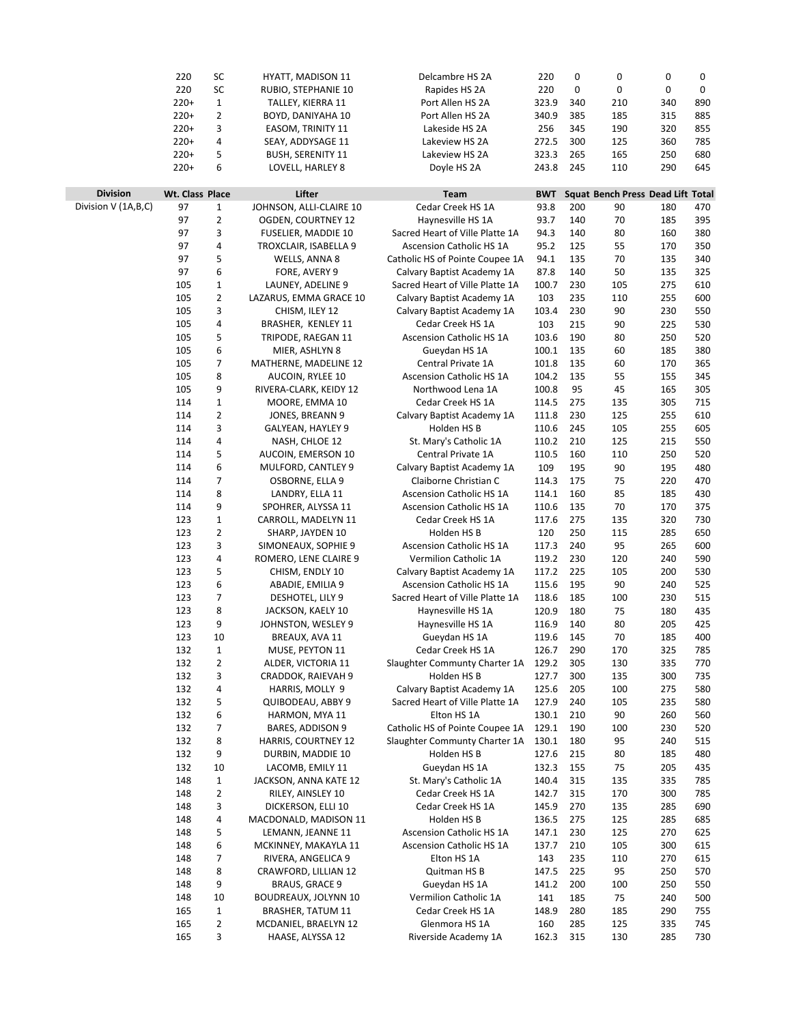|                       | 220             | SC             | <b>HYATT, MADISON 11</b>   | Delcambre HS 2A                 | 220        | 0   | 0                                 | 0   | 0   |  |
|-----------------------|-----------------|----------------|----------------------------|---------------------------------|------------|-----|-----------------------------------|-----|-----|--|
|                       | 220             | SC             | RUBIO, STEPHANIE 10        | Rapides HS 2A                   | 220        | 0   | 0                                 | 0   | 0   |  |
|                       | $220+$          | $\mathbf 1$    | TALLEY, KIERRA 11          | Port Allen HS 2A                | 323.9      | 340 | 210                               | 340 | 890 |  |
|                       | $220+$          | $\overline{2}$ | BOYD, DANIYAHA 10          | Port Allen HS 2A                | 340.9      | 385 | 185                               | 315 | 885 |  |
|                       | $220+$          | 3              | EASOM, TRINITY 11          | Lakeside HS 2A                  | 256        | 345 | 190                               | 320 | 855 |  |
|                       |                 |                |                            |                                 |            | 300 |                                   |     |     |  |
|                       | $220+$          | 4<br>5         | SEAY, ADDYSAGE 11          | Lakeview HS 2A                  | 272.5      |     | 125                               | 360 | 785 |  |
|                       | $220+$          |                | <b>BUSH, SERENITY 11</b>   | Lakeview HS 2A                  | 323.3      | 265 | 165                               | 250 | 680 |  |
|                       | $220+$          | 6              | LOVELL, HARLEY 8           | Doyle HS 2A                     | 243.8      | 245 | 110                               | 290 | 645 |  |
|                       |                 |                |                            |                                 |            |     |                                   |     |     |  |
| <b>Division</b>       | Wt. Class Place |                | Lifter                     | Team                            | <b>BWT</b> |     | Squat Bench Press Dead Lift Total |     |     |  |
| Division V (1A, B, C) | 97              | $\mathbf{1}$   | JOHNSON, ALLI-CLAIRE 10    | Cedar Creek HS 1A               | 93.8       | 200 | 90                                | 180 | 470 |  |
|                       | 97              | $\overline{2}$ | OGDEN, COURTNEY 12         | Haynesville HS 1A               | 93.7       | 140 | 70                                | 185 | 395 |  |
|                       | 97              | 3              | <b>FUSELIER, MADDIE 10</b> | Sacred Heart of Ville Platte 1A | 94.3       | 140 | 80                                | 160 | 380 |  |
|                       | 97              | 4              | TROXCLAIR, ISABELLA 9      | <b>Ascension Catholic HS 1A</b> | 95.2       | 125 | 55                                | 170 | 350 |  |
|                       | 97              | 5              | WELLS, ANNA 8              | Catholic HS of Pointe Coupee 1A | 94.1       | 135 | 70                                | 135 | 340 |  |
|                       | 97              | 6              | FORE, AVERY 9              | Calvary Baptist Academy 1A      | 87.8       | 140 | 50                                | 135 | 325 |  |
|                       | 105             | $\mathbf{1}$   | LAUNEY, ADELINE 9          | Sacred Heart of Ville Platte 1A | 100.7      | 230 | 105                               | 275 | 610 |  |
|                       | 105             | $\overline{2}$ | LAZARUS, EMMA GRACE 10     | Calvary Baptist Academy 1A      | 103        | 235 | 110                               | 255 | 600 |  |
|                       | 105             | 3              | CHISM, ILEY 12             | Calvary Baptist Academy 1A      | 103.4      | 230 | 90                                | 230 | 550 |  |
|                       | 105             | 4              | BRASHER, KENLEY 11         | Cedar Creek HS 1A               | 103        | 215 | 90                                | 225 | 530 |  |
|                       | 105             | 5              | TRIPODE, RAEGAN 11         | Ascension Catholic HS 1A        | 103.6      | 190 | 80                                | 250 | 520 |  |
|                       | 105             | 6              | MIER, ASHLYN 8             | Gueydan HS 1A                   | 100.1      | 135 | 60                                | 185 | 380 |  |
|                       | 105             | $\overline{7}$ | MATHERNE, MADELINE 12      | Central Private 1A              | 101.8      | 135 | 60                                | 170 | 365 |  |
|                       | 105             | 8              | AUCOIN, RYLEE 10           | Ascension Catholic HS 1A        | 104.2      | 135 | 55                                | 155 | 345 |  |
|                       | 105             | 9              | RIVERA-CLARK, KEIDY 12     | Northwood Lena 1A               | 100.8      | 95  | 45                                | 165 | 305 |  |
|                       | 114             | $\mathbf{1}$   | MOORE, EMMA 10             | Cedar Creek HS 1A               | 114.5      | 275 | 135                               | 305 | 715 |  |
|                       |                 |                |                            |                                 |            |     |                                   |     |     |  |
|                       | 114             | $\overline{2}$ | JONES, BREANN 9            | Calvary Baptist Academy 1A      | 111.8      | 230 | 125                               | 255 | 610 |  |
|                       | 114             | 3              | GALYEAN, HAYLEY 9          | Holden HS B                     | 110.6      | 245 | 105                               | 255 | 605 |  |
|                       | 114             | 4              | NASH, CHLOE 12             | St. Mary's Catholic 1A          | 110.2      | 210 | 125                               | 215 | 550 |  |
|                       | 114             | 5              | AUCOIN, EMERSON 10         | Central Private 1A              | 110.5      | 160 | 110                               | 250 | 520 |  |
|                       | 114             | 6              | MULFORD, CANTLEY 9         | Calvary Baptist Academy 1A      | 109        | 195 | 90                                | 195 | 480 |  |
|                       | 114             | $\overline{7}$ | OSBORNE, ELLA 9            | Claiborne Christian C           | 114.3      | 175 | 75                                | 220 | 470 |  |
|                       | 114             | 8              | LANDRY, ELLA 11            | <b>Ascension Catholic HS 1A</b> | 114.1      | 160 | 85                                | 185 | 430 |  |
|                       | 114             | 9              | SPOHRER, ALYSSA 11         | <b>Ascension Catholic HS 1A</b> | 110.6      | 135 | 70                                | 170 | 375 |  |
|                       | 123             | $\mathbf{1}$   | CARROLL, MADELYN 11        | Cedar Creek HS 1A               | 117.6      | 275 | 135                               | 320 | 730 |  |
|                       | 123             | 2              | SHARP, JAYDEN 10           | Holden HS B                     | 120        | 250 | 115                               | 285 | 650 |  |
|                       | 123             | 3              | SIMONEAUX, SOPHIE 9        | Ascension Catholic HS 1A        | 117.3      | 240 | 95                                | 265 | 600 |  |
|                       | 123             | 4              | ROMERO, LENE CLAIRE 9      | Vermilion Catholic 1A           | 119.2      | 230 | 120                               | 240 | 590 |  |
|                       | 123             | 5              | CHISM, ENDLY 10            | Calvary Baptist Academy 1A      | 117.2      | 225 | 105                               | 200 | 530 |  |
|                       | 123             | 6              | ABADIE, EMILIA 9           | <b>Ascension Catholic HS 1A</b> | 115.6      | 195 | 90                                | 240 | 525 |  |
|                       | 123             | 7              | DESHOTEL, LILY 9           | Sacred Heart of Ville Platte 1A | 118.6      | 185 | 100                               | 230 | 515 |  |
|                       | 123             | 8              | JACKSON, KAELY 10          | Haynesville HS 1A               | 120.9      | 180 | 75                                | 180 | 435 |  |
|                       | 123             | 9              | JOHNSTON, WESLEY 9         | Haynesville HS 1A               | 116.9      | 140 | 80                                | 205 | 425 |  |
|                       | 123             | 10             | BREAUX, AVA 11             | Gueydan HS 1A                   | 119.6      | 145 | 70                                | 185 | 400 |  |
|                       | 132             | $\mathbf 1$    | MUSE, PEYTON 11            | Cedar Creek HS 1A               | 126.7      | 290 | 170                               | 325 | 785 |  |
|                       | 132             | $\overline{2}$ | ALDER, VICTORIA 11         | Slaughter Communty Charter 1A   | 129.2      | 305 | 130                               | 335 | 770 |  |
|                       |                 |                |                            |                                 | 127.7      | 300 |                                   |     |     |  |
|                       | 132             | 3              | CRADDOK, RAIEVAH 9         | Holden HS B                     |            |     | 135                               | 300 | 735 |  |
|                       | 132             | 4              | HARRIS, MOLLY 9            | Calvary Baptist Academy 1A      | 125.6      | 205 | 100                               | 275 | 580 |  |
|                       | 132             | 5              | QUIBODEAU, ABBY 9          | Sacred Heart of Ville Platte 1A | 127.9      | 240 | 105                               | 235 | 580 |  |
|                       | 132             | 6              | HARMON, MYA 11             | Elton HS 1A                     | 130.1      | 210 | 90                                | 260 | 560 |  |
|                       | 132             | $\overline{7}$ | BARES, ADDISON 9           | Catholic HS of Pointe Coupee 1A | 129.1      | 190 | 100                               | 230 | 520 |  |
|                       | 132             | 8              | HARRIS, COURTNEY 12        | Slaughter Communty Charter 1A   | 130.1      | 180 | 95                                | 240 | 515 |  |
|                       | 132             | 9              | DURBIN, MADDIE 10          | Holden HS B                     | 127.6      | 215 | 80                                | 185 | 480 |  |
|                       | 132             | 10             | LACOMB, EMILY 11           | Gueydan HS 1A                   | 132.3      | 155 | 75                                | 205 | 435 |  |
|                       | 148             | $\mathbf{1}$   | JACKSON, ANNA KATE 12      | St. Mary's Catholic 1A          | 140.4      | 315 | 135                               | 335 | 785 |  |
|                       | 148             | $\overline{2}$ | RILEY, AINSLEY 10          | Cedar Creek HS 1A               | 142.7      | 315 | 170                               | 300 | 785 |  |
|                       | 148             | 3              | DICKERSON, ELLI 10         | Cedar Creek HS 1A               | 145.9      | 270 | 135                               | 285 | 690 |  |
|                       | 148             | 4              | MACDONALD, MADISON 11      | Holden HS B                     | 136.5      | 275 | 125                               | 285 | 685 |  |
|                       | 148             | 5              | LEMANN, JEANNE 11          | Ascension Catholic HS 1A        | 147.1      | 230 | 125                               | 270 | 625 |  |
|                       | 148             | 6              | MCKINNEY, MAKAYLA 11       | Ascension Catholic HS 1A        | 137.7      | 210 | 105                               | 300 | 615 |  |
|                       | 148             | 7              | RIVERA, ANGELICA 9         | Elton HS 1A                     | 143        | 235 | 110                               | 270 | 615 |  |
|                       |                 | 8              |                            |                                 | 147.5      | 225 | 95                                | 250 | 570 |  |
|                       | 148             |                | CRAWFORD, LILLIAN 12       | Quitman HS B                    |            |     |                                   |     |     |  |
|                       | 148             | 9              | BRAUS, GRACE 9             | Gueydan HS 1A                   | 141.2      | 200 | 100                               | 250 | 550 |  |
|                       | 148             | 10             | BOUDREAUX, JOLYNN 10       | Vermilion Catholic 1A           | 141        | 185 | 75                                | 240 | 500 |  |
|                       | 165             | $\mathbf{1}$   | BRASHER, TATUM 11          | Cedar Creek HS 1A               | 148.9      | 280 | 185                               | 290 | 755 |  |
|                       | 165             | $\overline{2}$ | MCDANIEL, BRAELYN 12       | Glenmora HS 1A                  | 160        | 285 | 125                               | 335 | 745 |  |
|                       | 165             | 3              | HAASE, ALYSSA 12           | Riverside Academy 1A            | 162.3      | 315 | 130                               | 285 | 730 |  |
|                       |                 |                |                            |                                 |            |     |                                   |     |     |  |